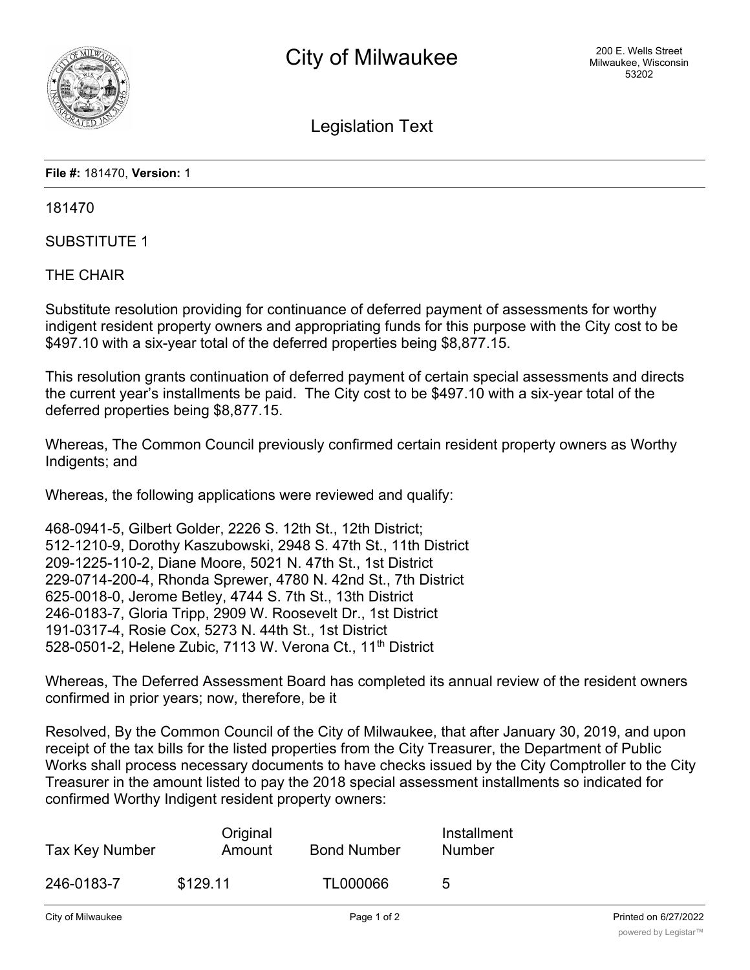

Legislation Text

**File #:** 181470, **Version:** 1

181470

SUBSTITUTE 1

THE CHAIR

Substitute resolution providing for continuance of deferred payment of assessments for worthy indigent resident property owners and appropriating funds for this purpose with the City cost to be \$497.10 with a six-year total of the deferred properties being \$8,877.15.

This resolution grants continuation of deferred payment of certain special assessments and directs the current year's installments be paid. The City cost to be \$497.10 with a six-year total of the deferred properties being \$8,877.15.

Whereas, The Common Council previously confirmed certain resident property owners as Worthy Indigents; and

Whereas, the following applications were reviewed and qualify:

468-0941-5, Gilbert Golder, 2226 S. 12th St., 12th District; 512-1210-9, Dorothy Kaszubowski, 2948 S. 47th St., 11th District 209-1225-110-2, Diane Moore, 5021 N. 47th St., 1st District 229-0714-200-4, Rhonda Sprewer, 4780 N. 42nd St., 7th District 625-0018-0, Jerome Betley, 4744 S. 7th St., 13th District 246-0183-7, Gloria Tripp, 2909 W. Roosevelt Dr., 1st District 191-0317-4, Rosie Cox, 5273 N. 44th St., 1st District 528-0501-2, Helene Zubic, 7113 W. Verona Ct., 11<sup>th</sup> District

Whereas, The Deferred Assessment Board has completed its annual review of the resident owners confirmed in prior years; now, therefore, be it

Resolved, By the Common Council of the City of Milwaukee, that after January 30, 2019, and upon receipt of the tax bills for the listed properties from the City Treasurer, the Department of Public Works shall process necessary documents to have checks issued by the City Comptroller to the City Treasurer in the amount listed to pay the 2018 special assessment installments so indicated for confirmed Worthy Indigent resident property owners:

| Tax Key Number | Original<br>Amount | <b>Bond Number</b> | Installment<br><b>Number</b> |
|----------------|--------------------|--------------------|------------------------------|
| 246-0183-7     | \$129.11           | TL000066           | 5                            |